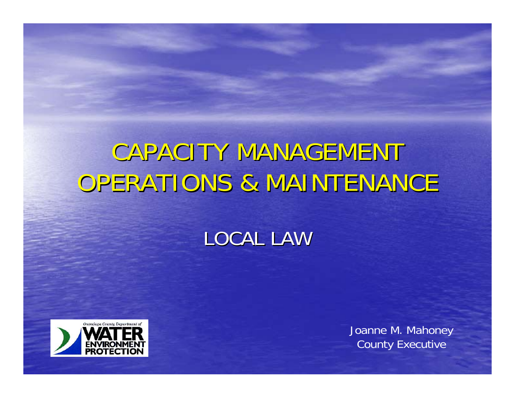## CAPACITY MANAGEMENT OPERATIONS & MAINTENANCE

#### LOCAL LAW



Joanne M. Mahoney County Executive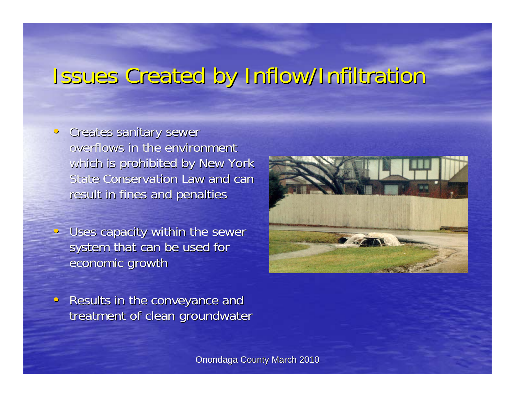#### Issues Created by Inflow/Infiltration

- Creates sanitary sewer overflows in the environment which is prohibited by New York State Conservation Law and can result in fines and penalties
- $\sim$  Uses capacity within the sewer system that can be used for economic growth



Results in the conveyance and treatment of clean groundwater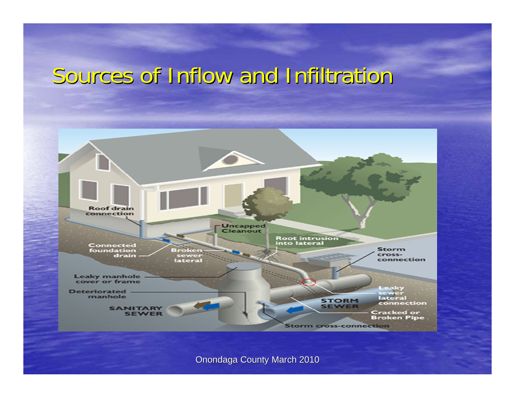#### Sources of Inflow and Infiltration Sources of Inflow and Infiltration

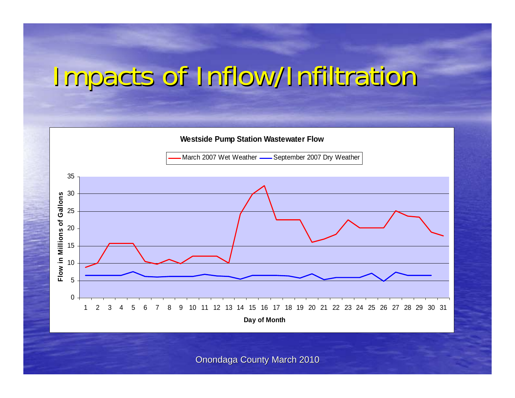## Impacts of Inflow/Infiltration

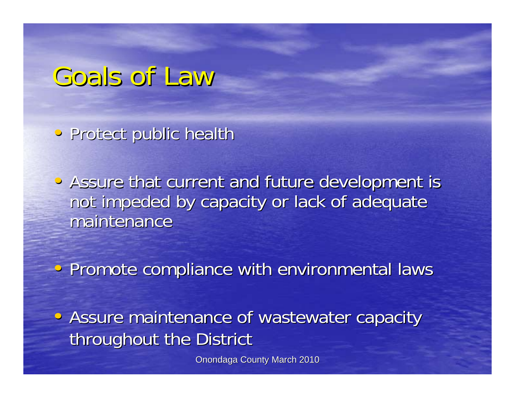#### Goals of Law

• Protect public health

• Assure that current and future development is not impeded by capacity or lack of adequate maintenance

• Promote compliance with environmental laws

• Assure maintenance of wastewater capacity throughout the District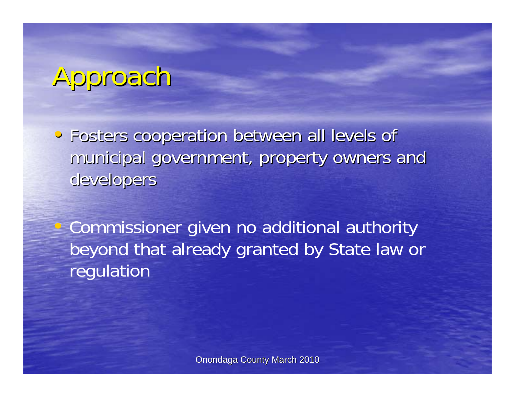# Approach

•Fosters cooperation between all levels of Fosters cooperation between all levels of municipal government, property owners and developers

Commissioner given no additional authority beyond that already granted by State law or regulation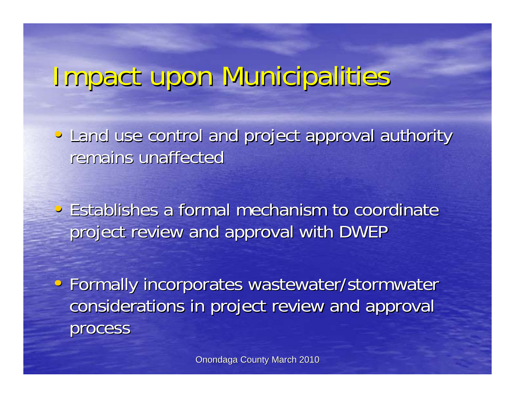#### Impact upon Municipalities

• Land use control and project approval authority remains unaffected

 $\cdot$  Establishes a formal mechanism to coordinate project review and approval with DWEP

• Formally incorporates wastewater/stormwater considerations in project review and approval considerations in project review and approval process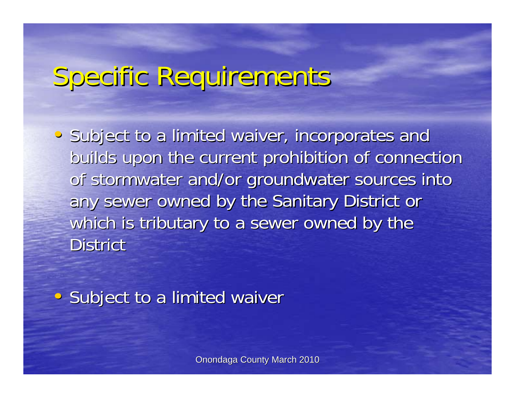## Specific Requirements Specific Requirements

• Subject to a limited waiver, incorporates and builds upon the current prohibition of connection of stormwater and/or groundwater sources into any sewer owned by the Sanitary District or which is tributary to a sewer owned by the District

• Subject to a limited waiver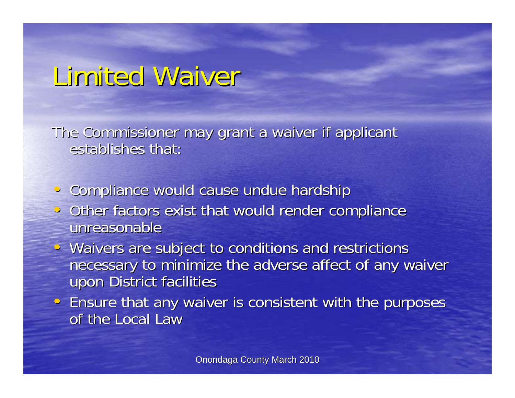### Limited Waiver

The Commissioner may grant a waiver if applicant establishes that:

- Compliance would cause undue hardship
- Other factors exist that would render compliance unreasonable
- Waivers are subject to conditions and restrictions necessary to minimize the adverse affect of any waiver upon District facilities
- Ensure that any waiver is consistent with the purposes of the Local Law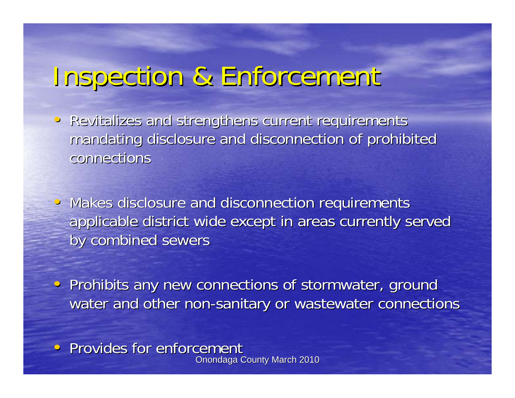#### Inspection & Enforcement Inspection & Enforcement

- Revitalizes and strengthens current requirements mandating disclosure and disconnection of prohibited connections
- Makes disclosure and disconnection requirements applicable district wide except in areas currently served by combined sewers
- Prohibits any new connections of stormwater, ground water and other non-sanitary or wastewater connections
- **Onondaga County March 2010** • Provides for enforcement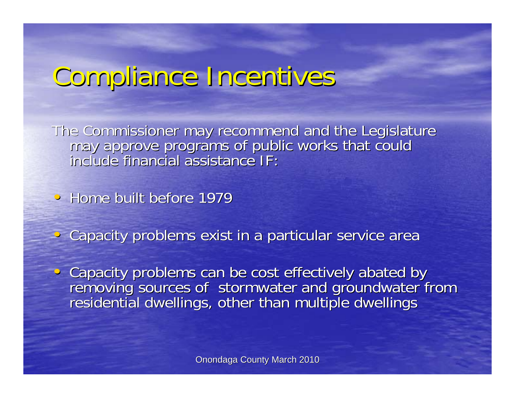## Compliance Incentives Compliance Incentives

The Commissioner may recommend and the Legislature<br>may approve programs of public works that could<br>include financial assistance IF:

• Home built before 1979

• Capacity problems exist in a particular service area

Capacity problems can be cost effectively abated by<br>removing sources of stormwater and groundwater from<br>residential dwellings, other than multiple dwellings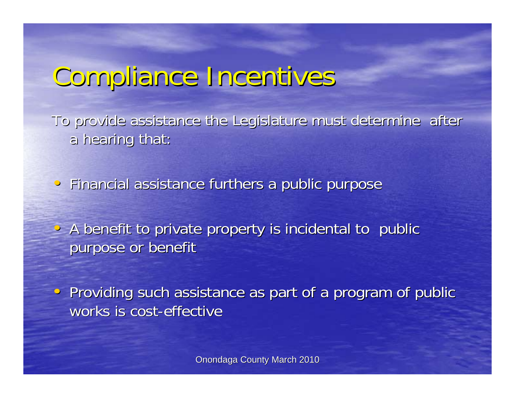### Compliance Incentives Compliance Incentives

To provide assistance the Legislature must determine after a hearing that:

• Financial assistance furthers a public purpose

• A benefit to private property is incidental to public purpose or benefit

• Providing such assistance as part of a program of public works is cost-effective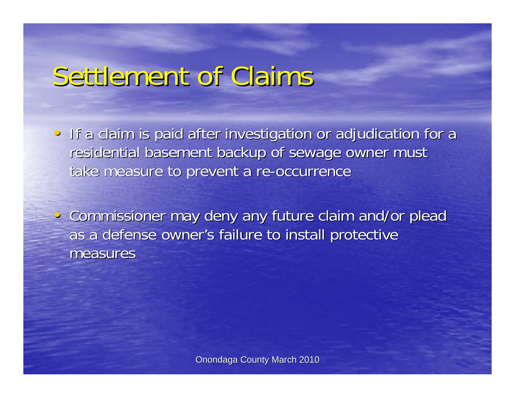#### Settlement of Claims

- If a claim is paid after investigation or adjudication for a residential basement backup of sewage owner must take measure to prevent a re-occurrence
- Commissioner may deny any future claim and/or plead as a defense owner's failure to install protective measures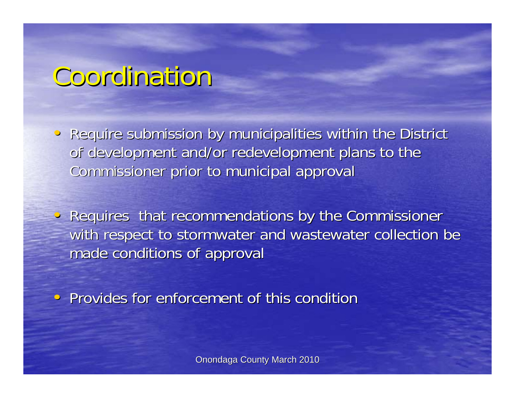#### Coordination

- Require submission by municipalities within the District of development and/or redevelopment plans to the Commissioner prior to municipal approval
- Requires that recommendations by the Commissioner with respect to stormwater and wastewater collection be made conditions of approval

• Provides for enforcement of this condition